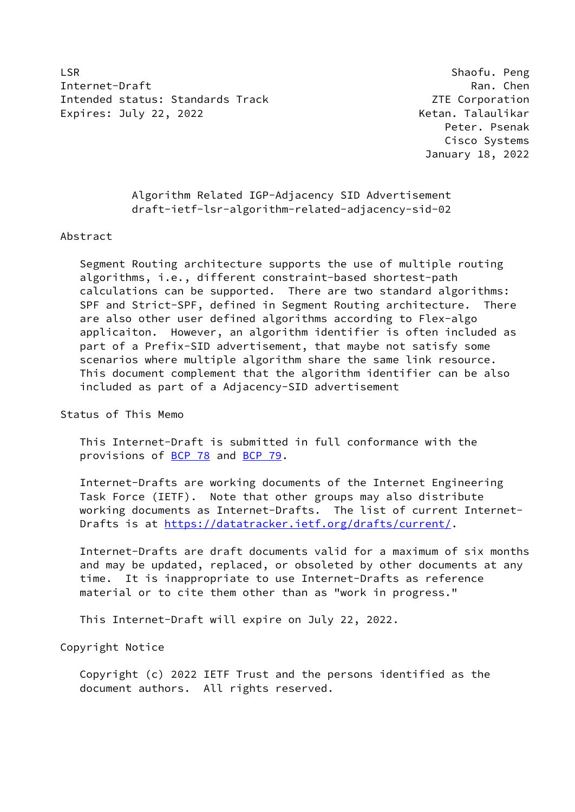LSR Shaofu. Peng Internet-Draft Ran. Chen Intended status: Standards Track Corporation 2TE Corporation Expires: July 22, 2022 **Ketan. Talaulikar** 

 Peter. Psenak Cisco Systems January 18, 2022

 Algorithm Related IGP-Adjacency SID Advertisement draft-ietf-lsr-algorithm-related-adjacency-sid-02

Abstract

 Segment Routing architecture supports the use of multiple routing algorithms, i.e., different constraint-based shortest-path calculations can be supported. There are two standard algorithms: SPF and Strict-SPF, defined in Segment Routing architecture. There are also other user defined algorithms according to Flex-algo applicaiton. However, an algorithm identifier is often included as part of a Prefix-SID advertisement, that maybe not satisfy some scenarios where multiple algorithm share the same link resource. This document complement that the algorithm identifier can be also included as part of a Adjacency-SID advertisement

Status of This Memo

 This Internet-Draft is submitted in full conformance with the provisions of [BCP 78](https://datatracker.ietf.org/doc/pdf/bcp78) and [BCP 79](https://datatracker.ietf.org/doc/pdf/bcp79).

 Internet-Drafts are working documents of the Internet Engineering Task Force (IETF). Note that other groups may also distribute working documents as Internet-Drafts. The list of current Internet- Drafts is at<https://datatracker.ietf.org/drafts/current/>.

 Internet-Drafts are draft documents valid for a maximum of six months and may be updated, replaced, or obsoleted by other documents at any time. It is inappropriate to use Internet-Drafts as reference material or to cite them other than as "work in progress."

This Internet-Draft will expire on July 22, 2022.

Copyright Notice

 Copyright (c) 2022 IETF Trust and the persons identified as the document authors. All rights reserved.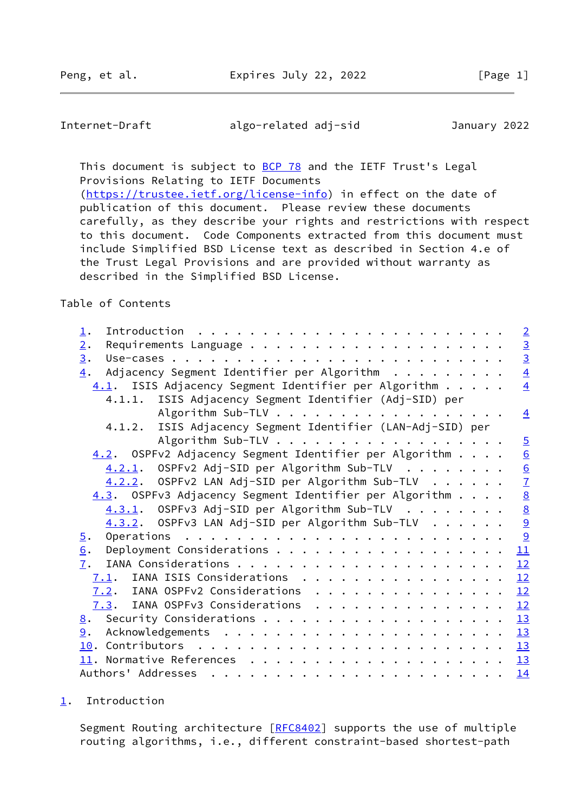<span id="page-1-1"></span>Internet-Draft algo-related adj-sid January 2022

This document is subject to **[BCP 78](https://datatracker.ietf.org/doc/pdf/bcp78)** and the IETF Trust's Legal Provisions Relating to IETF Documents [\(https://trustee.ietf.org/license-info](https://trustee.ietf.org/license-info)) in effect on the date of

 publication of this document. Please review these documents carefully, as they describe your rights and restrictions with respect to this document. Code Components extracted from this document must include Simplified BSD License text as described in Section 4.e of the Trust Legal Provisions and are provided without warranty as described in the Simplified BSD License.

Table of Contents

| $\perp$ .                                                     | $\overline{2}$  |
|---------------------------------------------------------------|-----------------|
| 2.                                                            | $\frac{3}{3}$   |
| $\underline{3}$ .                                             |                 |
| Adjacency Segment Identifier per Algorithm<br>4.              | $\overline{4}$  |
| 4.1. ISIS Adjacency Segment Identifier per Algorithm          | $\overline{4}$  |
| 4.1.1. ISIS Adjacency Segment Identifier (Adj-SID) per        |                 |
|                                                               | $\overline{4}$  |
| ISIS Adjacency Segment Identifier (LAN-Adj-SID) per<br>4.1.2. |                 |
| Algorithm Sub-TLV                                             | $\overline{5}$  |
| 4.2. OSPFv2 Adjacency Segment Identifier per Algorithm        | $\underline{6}$ |
| $4.2.1.$ OSPFv2 Adj-SID per Algorithm Sub-TLV                 | $\frac{6}{7}$   |
| 4.2.2. OSPFv2 LAN Adj-SID per Algorithm Sub-TLV               |                 |
| 4.3. OSPFv3 Adjacency Segment Identifier per Algorithm        |                 |
| 4.3.1. OSPFv3 Adj-SID per Algorithm Sub-TLV                   | $\frac{8}{9}$   |
| $4.3.2$ . OSPFv3 LAN Adj-SID per Algorithm Sub-TLV            |                 |
| $\overline{5}$ .                                              | <u>୨</u>        |
| 6.                                                            | 11              |
| 7.                                                            | 12              |
| 7.1. IANA ISIS Considerations                                 | 12              |
| 7.2. IANA OSPFv2 Considerations                               | 12              |
| 7.3. IANA OSPFv3 Considerations                               | 12              |
| 8.                                                            | 13              |
| 9.                                                            |                 |
|                                                               | 13              |
|                                                               | 13              |
|                                                               | 14              |

<span id="page-1-0"></span>[1](#page-1-0). Introduction

Segment Routing architecture [\[RFC8402](https://datatracker.ietf.org/doc/pdf/rfc8402)] supports the use of multiple routing algorithms, i.e., different constraint-based shortest-path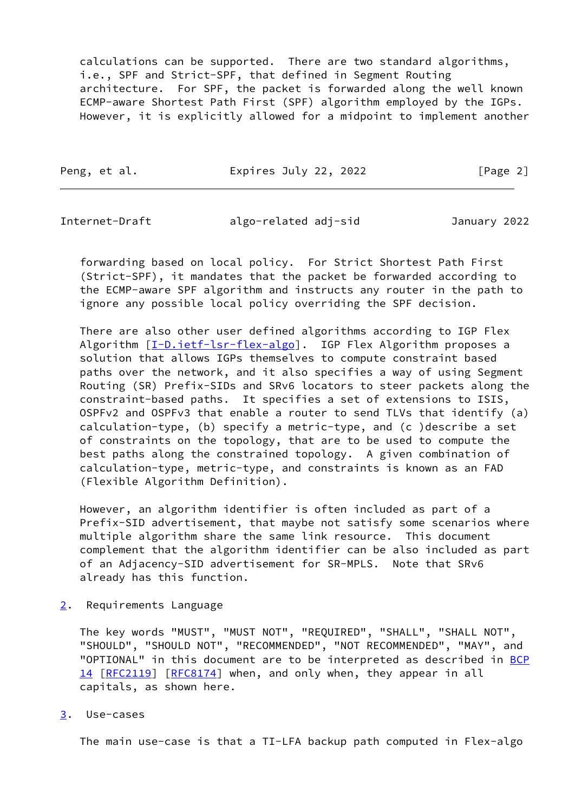calculations can be supported. There are two standard algorithms, i.e., SPF and Strict-SPF, that defined in Segment Routing architecture. For SPF, the packet is forwarded along the well known ECMP-aware Shortest Path First (SPF) algorithm employed by the IGPs. However, it is explicitly allowed for a midpoint to implement another

Peng, et al. **Expires July 22, 2022** [Page 2]

<span id="page-2-1"></span>Internet-Draft algo-related adj-sid January 2022

 forwarding based on local policy. For Strict Shortest Path First (Strict-SPF), it mandates that the packet be forwarded according to the ECMP-aware SPF algorithm and instructs any router in the path to ignore any possible local policy overriding the SPF decision.

 There are also other user defined algorithms according to IGP Flex Algorithm [[I-D.ietf-lsr-flex-algo](#page-14-2)]. IGP Flex Algorithm proposes a solution that allows IGPs themselves to compute constraint based paths over the network, and it also specifies a way of using Segment Routing (SR) Prefix-SIDs and SRv6 locators to steer packets along the constraint-based paths. It specifies a set of extensions to ISIS, OSPFv2 and OSPFv3 that enable a router to send TLVs that identify (a) calculation-type, (b) specify a metric-type, and (c )describe a set of constraints on the topology, that are to be used to compute the best paths along the constrained topology. A given combination of calculation-type, metric-type, and constraints is known as an FAD (Flexible Algorithm Definition).

 However, an algorithm identifier is often included as part of a Prefix-SID advertisement, that maybe not satisfy some scenarios where multiple algorithm share the same link resource. This document complement that the algorithm identifier can be also included as part of an Adjacency-SID advertisement for SR-MPLS. Note that SRv6 already has this function.

<span id="page-2-0"></span>[2](#page-2-0). Requirements Language

 The key words "MUST", "MUST NOT", "REQUIRED", "SHALL", "SHALL NOT", "SHOULD", "SHOULD NOT", "RECOMMENDED", "NOT RECOMMENDED", "MAY", and "OPTIONAL" in this document are to be interpreted as described in [BCP](https://datatracker.ietf.org/doc/pdf/bcp14) [14](https://datatracker.ietf.org/doc/pdf/bcp14) [[RFC2119\]](https://datatracker.ietf.org/doc/pdf/rfc2119) [\[RFC8174](https://datatracker.ietf.org/doc/pdf/rfc8174)] when, and only when, they appear in all capitals, as shown here.

<span id="page-2-2"></span>[3](#page-2-2). Use-cases

The main use-case is that a TI-LFA backup path computed in Flex-algo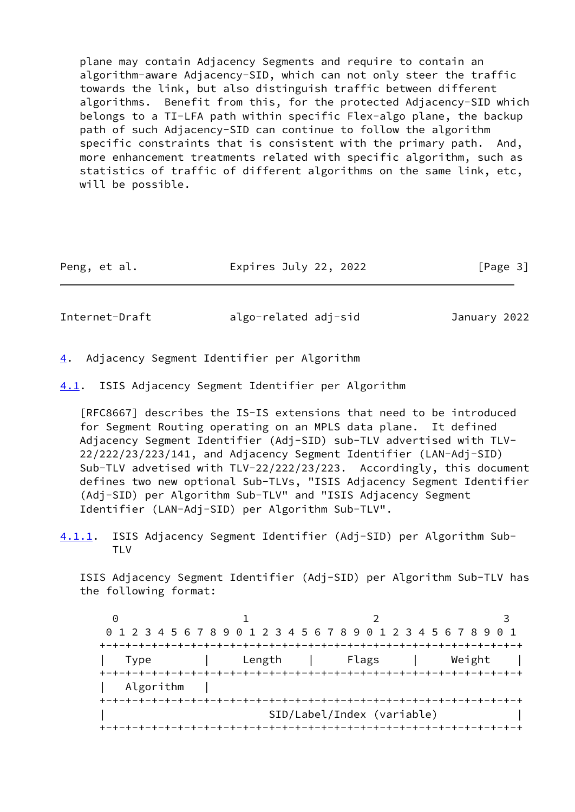plane may contain Adjacency Segments and require to contain an algorithm-aware Adjacency-SID, which can not only steer the traffic towards the link, but also distinguish traffic between different algorithms. Benefit from this, for the protected Adjacency-SID which belongs to a TI-LFA path within specific Flex-algo plane, the backup path of such Adjacency-SID can continue to follow the algorithm specific constraints that is consistent with the primary path. And, more enhancement treatments related with specific algorithm, such as statistics of traffic of different algorithms on the same link, etc, will be possible.

| Peng, et al. | Expires July 22, 2022 | [Page 3] |
|--------------|-----------------------|----------|
|--------------|-----------------------|----------|

<span id="page-3-1"></span>

Internet-Draft algo-related adj-sid January 2022

- <span id="page-3-0"></span>[4](#page-3-0). Adjacency Segment Identifier per Algorithm
- <span id="page-3-2"></span>[4.1](#page-3-2). ISIS Adjacency Segment Identifier per Algorithm

 [RFC8667] describes the IS-IS extensions that need to be introduced for Segment Routing operating on an MPLS data plane. It defined Adjacency Segment Identifier (Adj-SID) sub-TLV advertised with TLV- 22/222/23/223/141, and Adjacency Segment Identifier (LAN-Adj-SID) Sub-TLV advetised with TLV-22/222/23/223. Accordingly, this document defines two new optional Sub-TLVs, "ISIS Adjacency Segment Identifier (Adj-SID) per Algorithm Sub-TLV" and "ISIS Adjacency Segment Identifier (LAN-Adj-SID) per Algorithm Sub-TLV".

<span id="page-3-3"></span>[4.1.1](#page-3-3). ISIS Adjacency Segment Identifier (Adj-SID) per Algorithm Sub- TI<sub>V</sub>

 ISIS Adjacency Segment Identifier (Adj-SID) per Algorithm Sub-TLV has the following format:

 $0$  1 2 3 0 1 2 3 4 5 6 7 8 9 0 1 2 3 4 5 6 7 8 9 0 1 2 3 4 5 6 7 8 9 0 1 +-+-+-+-+-+-+-+-+-+-+-+-+-+-+-+-+-+-+-+-+-+-+-+-+-+-+-+-+-+-+-+-+ | Type | Length | Flags | Weight | +-+-+-+-+-+-+-+-+-+-+-+-+-+-+-+-+-+-+-+-+-+-+-+-+-+-+-+-+-+-+-+-+ Algorithm +-+-+-+-+-+-+-+-+-+-+-+-+-+-+-+-+-+-+-+-+-+-+-+-+-+-+-+-+-+-+-+-+ | SID/Label/Index (variable) | +-+-+-+-+-+-+-+-+-+-+-+-+-+-+-+-+-+-+-+-+-+-+-+-+-+-+-+-+-+-+-+-+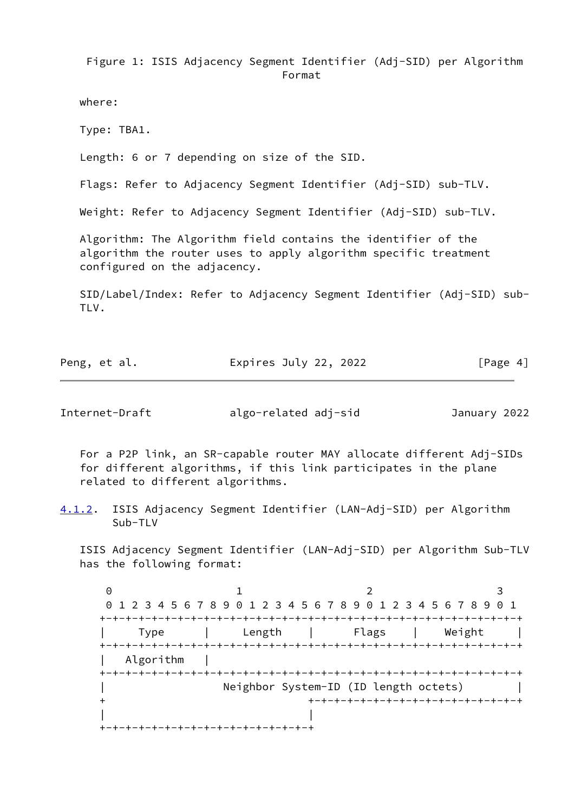Figure 1: ISIS Adjacency Segment Identifier (Adj-SID) per Algorithm Format

where:

Type: TBA1.

Length: 6 or 7 depending on size of the SID.

Flags: Refer to Adjacency Segment Identifier (Adj-SID) sub-TLV.

Weight: Refer to Adjacency Segment Identifier (Adj-SID) sub-TLV.

 Algorithm: The Algorithm field contains the identifier of the algorithm the router uses to apply algorithm specific treatment configured on the adjacency.

 SID/Label/Index: Refer to Adjacency Segment Identifier (Adj-SID) sub- TLV.

| Peng, et al. | Expires July 22, 2022 | [Page 4] |
|--------------|-----------------------|----------|
|              |                       |          |

<span id="page-4-0"></span>Internet-Draft algo-related adj-sid January 2022

 For a P2P link, an SR-capable router MAY allocate different Adj-SIDs for different algorithms, if this link participates in the plane related to different algorithms.

<span id="page-4-1"></span>[4.1.2](#page-4-1). ISIS Adjacency Segment Identifier (LAN-Adj-SID) per Algorithm Sub-TLV

 ISIS Adjacency Segment Identifier (LAN-Adj-SID) per Algorithm Sub-TLV has the following format:

0 1 2 3 0 1 2 3 4 5 6 7 8 9 0 1 2 3 4 5 6 7 8 9 0 1 2 3 4 5 6 7 8 9 0 1 +-+-+-+-+-+-+-+-+-+-+-+-+-+-+-+-+-+-+-+-+-+-+-+-+-+-+-+-+-+-+-+-+ | Type | Length | Flags | Weight | +-+-+-+-+-+-+-+-+-+-+-+-+-+-+-+-+-+-+-+-+-+-+-+-+-+-+-+-+-+-+-+-+ Algorithm +-+-+-+-+-+-+-+-+-+-+-+-+-+-+-+-+-+-+-+-+-+-+-+-+-+-+-+-+-+-+-+-+ Neighbor System-ID (ID length octets) + +-+-+-+-+-+-+-+-+-+-+-+-+-+-+-+-+ | | +-+-+-+-+-+-+-+-+-+-+-+-+-+-+-+-+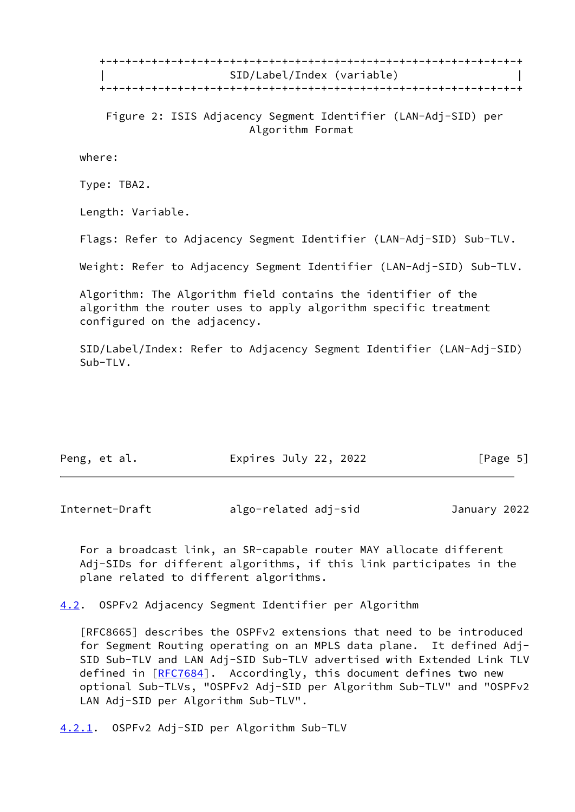+-+-+-+-+-+-+-+-+-+-+-+-+-+-+-+-+-+-+-+-+-+-+-+-+-+-+-+-+-+-+-+-+ | SID/Label/Index (variable) | +-+-+-+-+-+-+-+-+-+-+-+-+-+-+-+-+-+-+-+-+-+-+-+-+-+-+-+-+-+-+-+-+

 Figure 2: ISIS Adjacency Segment Identifier (LAN-Adj-SID) per Algorithm Format

where:

Type: TBA2.

Length: Variable.

Flags: Refer to Adjacency Segment Identifier (LAN-Adj-SID) Sub-TLV.

Weight: Refer to Adjacency Segment Identifier (LAN-Adj-SID) Sub-TLV.

 Algorithm: The Algorithm field contains the identifier of the algorithm the router uses to apply algorithm specific treatment configured on the adjacency.

 SID/Label/Index: Refer to Adjacency Segment Identifier (LAN-Adj-SID) Sub-TLV.

| Peng, et al. | Expires July 22, 2022 | [Page 5] |
|--------------|-----------------------|----------|
|              |                       |          |

<span id="page-5-1"></span>Internet-Draft algo-related adj-sid January 2022

 For a broadcast link, an SR-capable router MAY allocate different Adj-SIDs for different algorithms, if this link participates in the plane related to different algorithms.

<span id="page-5-0"></span>[4.2](#page-5-0). OSPFv2 Adjacency Segment Identifier per Algorithm

 [RFC8665] describes the OSPFv2 extensions that need to be introduced for Segment Routing operating on an MPLS data plane. It defined Adj- SID Sub-TLV and LAN Adj-SID Sub-TLV advertised with Extended Link TLV defined in [[RFC7684\]](https://datatracker.ietf.org/doc/pdf/rfc7684). Accordingly, this document defines two new optional Sub-TLVs, "OSPFv2 Adj-SID per Algorithm Sub-TLV" and "OSPFv2 LAN Adj-SID per Algorithm Sub-TLV".

<span id="page-5-2"></span>[4.2.1](#page-5-2). OSPFv2 Adj-SID per Algorithm Sub-TLV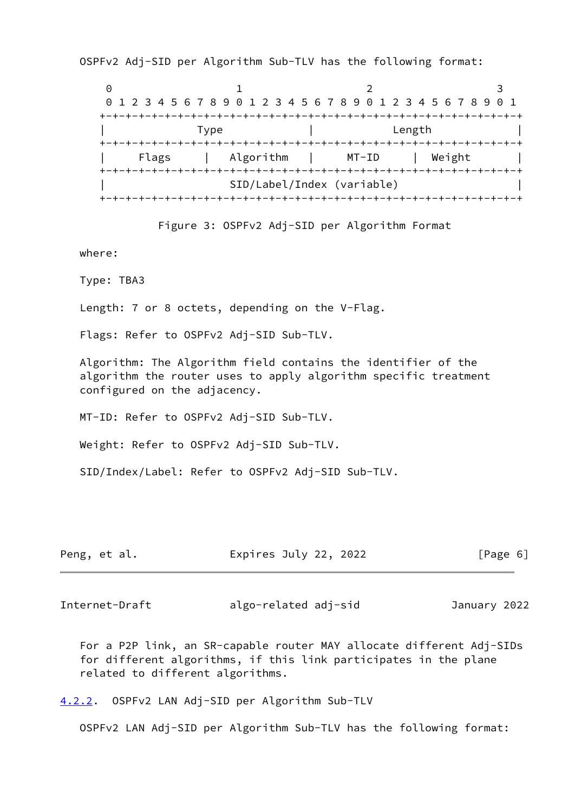OSPFv2 Adj-SID per Algorithm Sub-TLV has the following format:

0 1 2 3 0 1 2 3 4 5 6 7 8 9 0 1 2 3 4 5 6 7 8 9 0 1 2 3 4 5 6 7 8 9 0 1 +-+-+-+-+-+-+-+-+-+-+-+-+-+-+-+-+-+-+-+-+-+-+-+-+-+-+-+-+-+-+-+-+ | Type | Length | +-+-+-+-+-+-+-+-+-+-+-+-+-+-+-+-+-+-+-+-+-+-+-+-+-+-+-+-+-+-+-+-+ Algorithm | MT-ID | Weight | +-+-+-+-+-+-+-+-+-+-+-+-+-+-+-+-+-+-+-+-+-+-+-+-+-+-+-+-+-+-+-+-+ | SID/Label/Index (variable) | +-+-+-+-+-+-+-+-+-+-+-+-+-+-+-+-+-+-+-+-+-+-+-+-+-+-+-+-+-+-+-+-+

Figure 3: OSPFv2 Adj-SID per Algorithm Format

where:

Type: TBA3

Length: 7 or 8 octets, depending on the V-Flag.

Flags: Refer to OSPFv2 Adj-SID Sub-TLV.

 Algorithm: The Algorithm field contains the identifier of the algorithm the router uses to apply algorithm specific treatment configured on the adjacency.

MT-ID: Refer to OSPFv2 Adj-SID Sub-TLV.

Weight: Refer to OSPFv2 Adj-SID Sub-TLV.

SID/Index/Label: Refer to OSPFv2 Adj-SID Sub-TLV.

| Peng, et al. | Expires July 22, 2022 | [Page 6] |
|--------------|-----------------------|----------|
|--------------|-----------------------|----------|

<span id="page-6-1"></span>Internet-Draft algo-related adj-sid January 2022

 For a P2P link, an SR-capable router MAY allocate different Adj-SIDs for different algorithms, if this link participates in the plane related to different algorithms.

<span id="page-6-0"></span>[4.2.2](#page-6-0). OSPFv2 LAN Adj-SID per Algorithm Sub-TLV

OSPFv2 LAN Adj-SID per Algorithm Sub-TLV has the following format: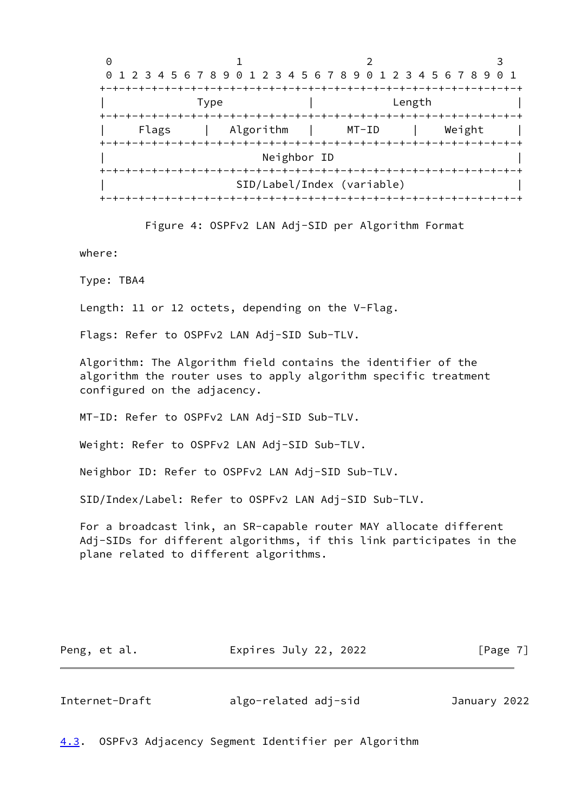

Figure 4: OSPFv2 LAN Adj-SID per Algorithm Format

where:

Type: TBA4

Length: 11 or 12 octets, depending on the V-Flag.

Flags: Refer to OSPFv2 LAN Adj-SID Sub-TLV.

 Algorithm: The Algorithm field contains the identifier of the algorithm the router uses to apply algorithm specific treatment configured on the adjacency.

MT-ID: Refer to OSPFv2 LAN Adj-SID Sub-TLV.

Weight: Refer to OSPFv2 LAN Adj-SID Sub-TLV.

Neighbor ID: Refer to OSPFv2 LAN Adj-SID Sub-TLV.

SID/Index/Label: Refer to OSPFv2 LAN Adj-SID Sub-TLV.

 For a broadcast link, an SR-capable router MAY allocate different Adj-SIDs for different algorithms, if this link participates in the plane related to different algorithms.

| Peng, et al. | Expires July 22, 2022 | [Page 7] |
|--------------|-----------------------|----------|
|--------------|-----------------------|----------|

<span id="page-7-1"></span>Internet-Draft algo-related adj-sid January 2022

<span id="page-7-0"></span>[4.3](#page-7-0). OSPFv3 Adjacency Segment Identifier per Algorithm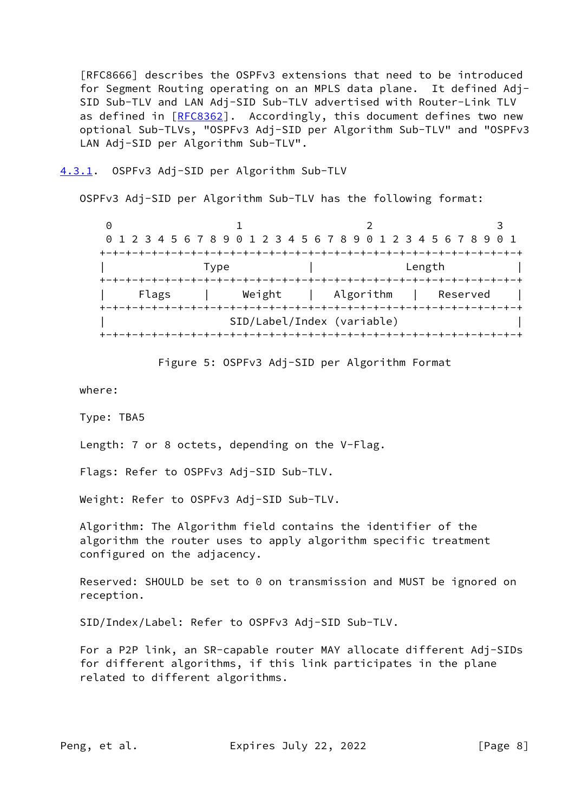[RFC8666] describes the OSPFv3 extensions that need to be introduced for Segment Routing operating on an MPLS data plane. It defined Adj- SID Sub-TLV and LAN Adj-SID Sub-TLV advertised with Router-Link TLV as defined in [[RFC8362](https://datatracker.ietf.org/doc/pdf/rfc8362)]. Accordingly, this document defines two new optional Sub-TLVs, "OSPFv3 Adj-SID per Algorithm Sub-TLV" and "OSPFv3 LAN Adj-SID per Algorithm Sub-TLV".

#### <span id="page-8-0"></span>[4.3.1](#page-8-0). OSPFv3 Adj-SID per Algorithm Sub-TLV

OSPFv3 Adj-SID per Algorithm Sub-TLV has the following format:

| 0 1 2 3 4 5 6 7 8 9 0 1 2 3 4 5 6 7 8 9 0 1 2 3 4 5 6 7 8 9 0 1<br>Length<br>Type<br>Algorithm<br>Weight<br>Reserved<br>Flags<br>SID/Label/Index (variable) |  |  |  |
|-------------------------------------------------------------------------------------------------------------------------------------------------------------|--|--|--|
|                                                                                                                                                             |  |  |  |
|                                                                                                                                                             |  |  |  |
|                                                                                                                                                             |  |  |  |
|                                                                                                                                                             |  |  |  |
|                                                                                                                                                             |  |  |  |



where:

Type: TBA5

Length: 7 or 8 octets, depending on the V-Flag.

Flags: Refer to OSPFv3 Adj-SID Sub-TLV.

Weight: Refer to OSPFv3 Adj-SID Sub-TLV.

 Algorithm: The Algorithm field contains the identifier of the algorithm the router uses to apply algorithm specific treatment configured on the adjacency.

Reserved: SHOULD be set to 0 on transmission and MUST be ignored on reception.

SID/Index/Label: Refer to OSPFv3 Adj-SID Sub-TLV.

 For a P2P link, an SR-capable router MAY allocate different Adj-SIDs for different algorithms, if this link participates in the plane related to different algorithms.

Peng, et al. **Expires July 22, 2022** [Page 8]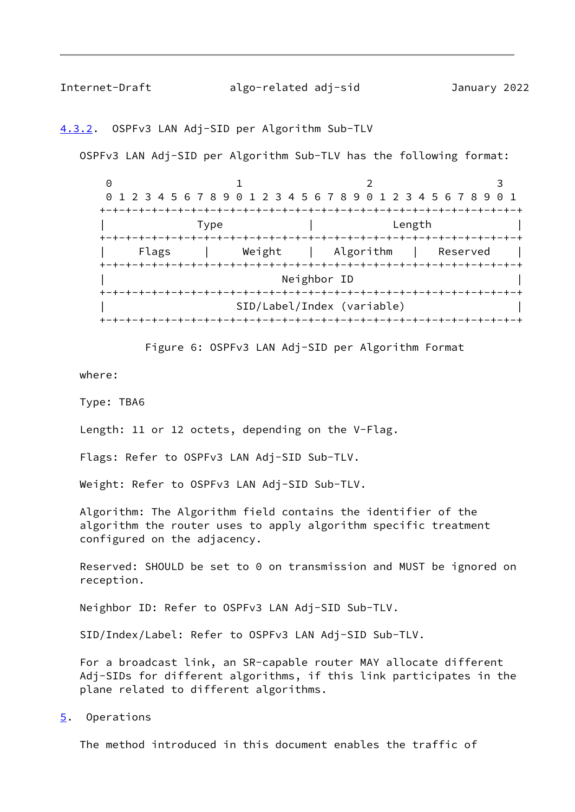<span id="page-9-1"></span>Internet-Draft algo-related adj-sid January 2022

#### <span id="page-9-0"></span>[4.3.2](#page-9-0). OSPFv3 LAN Adj-SID per Algorithm Sub-TLV

OSPFv3 LAN Adj-SID per Algorithm Sub-TLV has the following format:

0 1 2 3 0 1 2 3 4 5 6 7 8 9 0 1 2 3 4 5 6 7 8 9 0 1 2 3 4 5 6 7 8 9 0 1 +-+-+-+-+-+-+-+-+-+-+-+-+-+-+-+-+-+-+-+-+-+-+-+-+-+-+-+-+-+-+-+-+ | Type | Length | +-+-+-+-+-+-+-+-+-+-+-+-+-+-+-+-+-+-+-+-+-+-+-+-+-+-+-+-+-+-+-+-+ | Flags | Weight | Algorithm | Reserved | +-+-+-+-+-+-+-+-+-+-+-+-+-+-+-+-+-+-+-+-+-+-+-+-+-+-+-+-+-+-+-+-+ Neighbor ID +-+-+-+-+-+-+-+-+-+-+-+-+-+-+-+-+-+-+-+-+-+-+-+-+-+-+-+-+-+-+-+-+ | SID/Label/Index (variable) | +-+-+-+-+-+-+-+-+-+-+-+-+-+-+-+-+-+-+-+-+-+-+-+-+-+-+-+-+-+-+-+-+

Figure 6: OSPFv3 LAN Adj-SID per Algorithm Format

where:

Type: TBA6

Length: 11 or 12 octets, depending on the V-Flag.

Flags: Refer to OSPFv3 LAN Adj-SID Sub-TLV.

Weight: Refer to OSPFv3 LAN Adj-SID Sub-TLV.

 Algorithm: The Algorithm field contains the identifier of the algorithm the router uses to apply algorithm specific treatment configured on the adjacency.

Reserved: SHOULD be set to 0 on transmission and MUST be ignored on reception.

Neighbor ID: Refer to OSPFv3 LAN Adj-SID Sub-TLV.

SID/Index/Label: Refer to OSPFv3 LAN Adj-SID Sub-TLV.

 For a broadcast link, an SR-capable router MAY allocate different Adj-SIDs for different algorithms, if this link participates in the plane related to different algorithms.

<span id="page-9-2"></span>[5](#page-9-2). Operations

The method introduced in this document enables the traffic of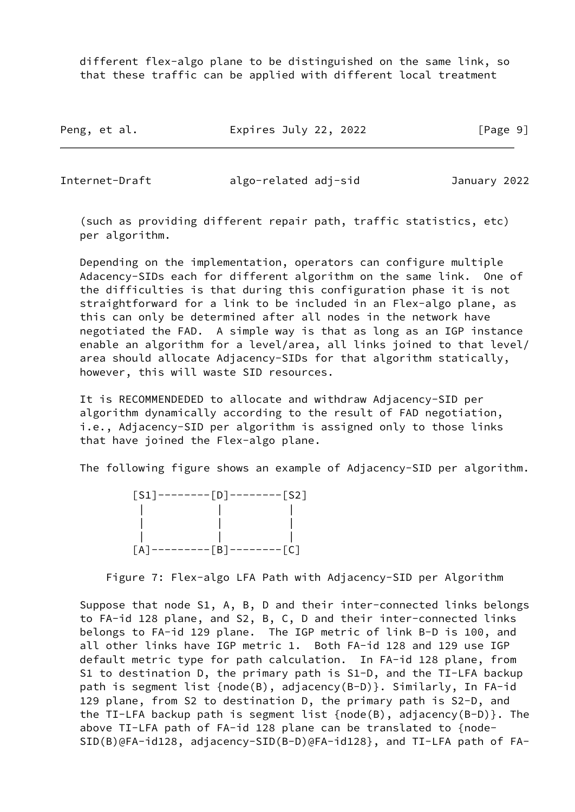different flex-algo plane to be distinguished on the same link, so that these traffic can be applied with different local treatment

| Peng, et al. | Expires July 22, 2022 | [Page 9] |
|--------------|-----------------------|----------|
|--------------|-----------------------|----------|

Internet-Draft algo-related adj-sid January 2022

 (such as providing different repair path, traffic statistics, etc) per algorithm.

 Depending on the implementation, operators can configure multiple Adacency-SIDs each for different algorithm on the same link. One of the difficulties is that during this configuration phase it is not straightforward for a link to be included in an Flex-algo plane, as this can only be determined after all nodes in the network have negotiated the FAD. A simple way is that as long as an IGP instance enable an algorithm for a level/area, all links joined to that level/ area should allocate Adjacency-SIDs for that algorithm statically, however, this will waste SID resources.

 It is RECOMMENDEDED to allocate and withdraw Adjacency-SID per algorithm dynamically according to the result of FAD negotiation, i.e., Adjacency-SID per algorithm is assigned only to those links that have joined the Flex-algo plane.

The following figure shows an example of Adjacency-SID per algorithm.

|                           | $[S1]$ --------[D]--------[S2] |             |
|---------------------------|--------------------------------|-------------|
|                           |                                |             |
|                           |                                |             |
|                           |                                |             |
| $\mathsf{TA}$<br>-------- | $--[B]$                        | $------[C]$ |

Figure 7: Flex-algo LFA Path with Adjacency-SID per Algorithm

 Suppose that node S1, A, B, D and their inter-connected links belongs to FA-id 128 plane, and S2, B, C, D and their inter-connected links belongs to FA-id 129 plane. The IGP metric of link B-D is 100, and all other links have IGP metric 1. Both FA-id 128 and 129 use IGP default metric type for path calculation. In FA-id 128 plane, from S1 to destination D, the primary path is S1-D, and the TI-LFA backup path is segment list {node(B), adjacency(B-D)}. Similarly, In FA-id 129 plane, from S2 to destination D, the primary path is S2-D, and the TI-LFA backup path is segment list {node(B), adjacency(B-D)}. The above TI-LFA path of FA-id 128 plane can be translated to {node- SID(B)@FA-id128, adjacency-SID(B-D)@FA-id128}, and TI-LFA path of FA-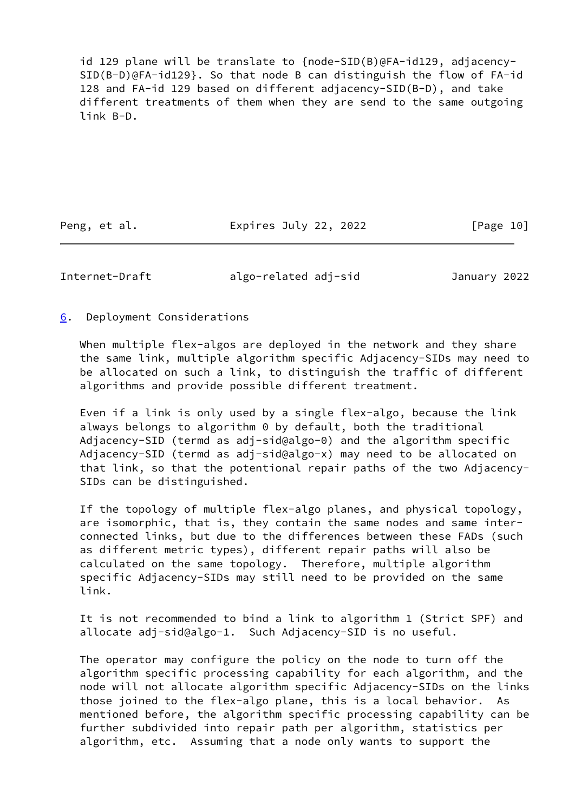id 129 plane will be translate to {node-SID(B)@FA-id129, adjacency- SID(B-D)@FA-id129}. So that node B can distinguish the flow of FA-id 128 and FA-id 129 based on different adjacency-SID(B-D), and take different treatments of them when they are send to the same outgoing link B-D.

Peng, et al. Expires July 22, 2022 [Page 10]

<span id="page-11-1"></span>Internet-Draft algo-related adj-sid January 2022

<span id="page-11-0"></span>[6](#page-11-0). Deployment Considerations

When multiple flex-algos are deployed in the network and they share the same link, multiple algorithm specific Adjacency-SIDs may need to be allocated on such a link, to distinguish the traffic of different algorithms and provide possible different treatment.

 Even if a link is only used by a single flex-algo, because the link always belongs to algorithm 0 by default, both the traditional Adjacency-SID (termd as adj-sid@algo-0) and the algorithm specific Adjacency-SID (termd as adj-sid@algo-x) may need to be allocated on that link, so that the potentional repair paths of the two Adjacency- SIDs can be distinguished.

 If the topology of multiple flex-algo planes, and physical topology, are isomorphic, that is, they contain the same nodes and same inter connected links, but due to the differences between these FADs (such as different metric types), different repair paths will also be calculated on the same topology. Therefore, multiple algorithm specific Adjacency-SIDs may still need to be provided on the same link.

 It is not recommended to bind a link to algorithm 1 (Strict SPF) and allocate adj-sid@algo-1. Such Adjacency-SID is no useful.

 The operator may configure the policy on the node to turn off the algorithm specific processing capability for each algorithm, and the node will not allocate algorithm specific Adjacency-SIDs on the links those joined to the flex-algo plane, this is a local behavior. As mentioned before, the algorithm specific processing capability can be further subdivided into repair path per algorithm, statistics per algorithm, etc. Assuming that a node only wants to support the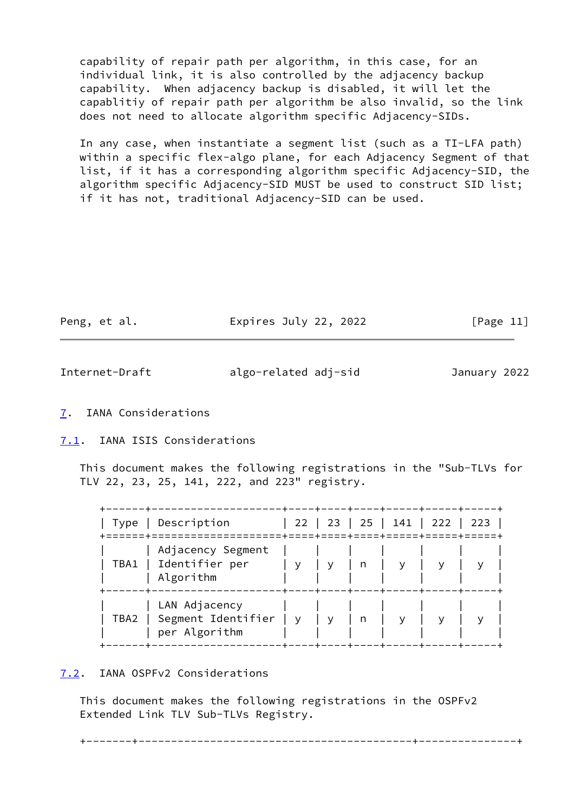capability of repair path per algorithm, in this case, for an individual link, it is also controlled by the adjacency backup capability. When adjacency backup is disabled, it will let the capablitiy of repair path per algorithm be also invalid, so the link does not need to allocate algorithm specific Adjacency-SIDs.

 In any case, when instantiate a segment list (such as a TI-LFA path) within a specific flex-algo plane, for each Adjacency Segment of that list, if it has a corresponding algorithm specific Adjacency-SID, the algorithm specific Adjacency-SID MUST be used to construct SID list; if it has not, traditional Adjacency-SID can be used.

| Peng, et al. | Expires July 22, 2022 | [Page 11] |
|--------------|-----------------------|-----------|
|              |                       |           |

<span id="page-12-1"></span>

| Internet-Draft | algo-related adj-sid | January 2022 |
|----------------|----------------------|--------------|
|                |                      |              |

### <span id="page-12-0"></span>[7](#page-12-0). IANA Considerations

### <span id="page-12-2"></span>[7.1](#page-12-2). IANA ISIS Considerations

 This document makes the following registrations in the "Sub-TLVs for TLV 22, 23, 25, 141, 222, and 223" registry.

|      | Type   Description                                      |     |  | 22   23   25   141   222   223 |  |
|------|---------------------------------------------------------|-----|--|--------------------------------|--|
|      | Adjacency Segment<br>TBA1   Identifier per<br>Algorithm | ' y |  |                                |  |
| TBA2 | LAN Adjacency<br>Segment Identifier<br>per Algorithm    | y v |  |                                |  |

## <span id="page-12-3"></span>[7.2](#page-12-3). IANA OSPFv2 Considerations

 This document makes the following registrations in the OSPFv2 Extended Link TLV Sub-TLVs Registry.

+-------+------------------------------------------+---------------+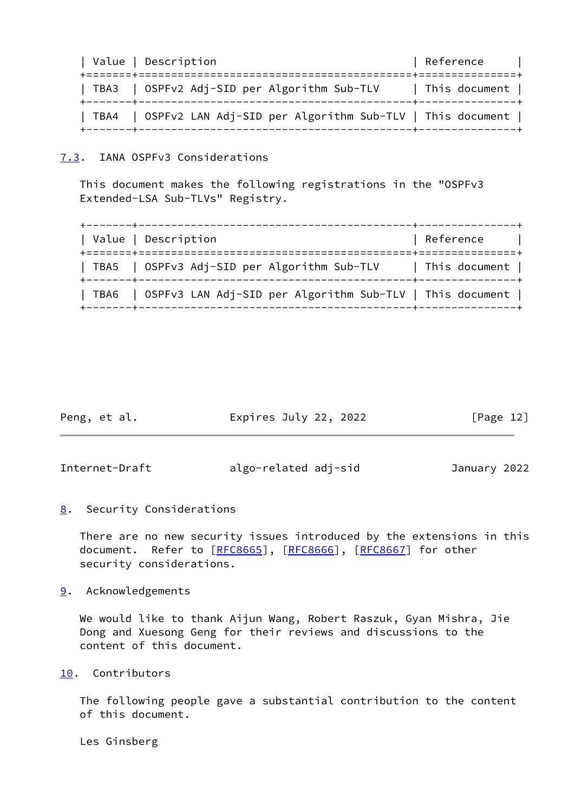| Value   Description                                             | Reference                               |
|-----------------------------------------------------------------|-----------------------------------------|
| TBA3   OSPFv2 Adj-SID per Algorithm Sub-TLV                     | This document  <br>---+---------------+ |
| TBA4   OSPF∨2 LAN Adj-SID per Algorithm Sub-TLV   This document |                                         |

### <span id="page-13-0"></span>[7.3](#page-13-0). IANA OSPFv3 Considerations

 This document makes the following registrations in the "OSPFv3 Extended-LSA Sub-TLVs" Registry.

| Value   Description                                             | Reference     |
|-----------------------------------------------------------------|---------------|
| TBA5   OSPFv3 Adj-SID per Algorithm Sub-TLV                     | This document |
| TBA6   OSPFv3 LAN Adj-SID per Algorithm Sub-TLV   This document |               |

<span id="page-13-2"></span>

| Peng, et al.   | Expires July 22, 2022 | $\lceil \text{Page 12} \rceil$ |
|----------------|-----------------------|--------------------------------|
|                |                       |                                |
| Internet-Draft | algo-related adj-sid  | January 2022                   |

<span id="page-13-1"></span>[8](#page-13-1). Security Considerations

 There are no new security issues introduced by the extensions in this document. Refer to [\[RFC8665](https://datatracker.ietf.org/doc/pdf/rfc8665)], [\[RFC8666](https://datatracker.ietf.org/doc/pdf/rfc8666)], [[RFC8667](https://datatracker.ietf.org/doc/pdf/rfc8667)] for other security considerations.

<span id="page-13-3"></span>[9](#page-13-3). Acknowledgements

 We would like to thank Aijun Wang, Robert Raszuk, Gyan Mishra, Jie Dong and Xuesong Geng for their reviews and discussions to the content of this document.

<span id="page-13-4"></span>[10.](#page-13-4) Contributors

 The following people gave a substantial contribution to the content of this document.

Les Ginsberg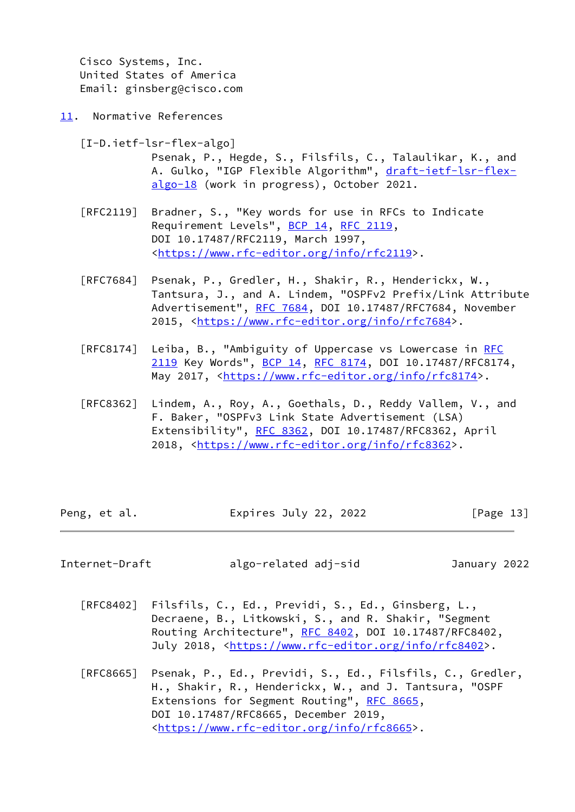Cisco Systems, Inc. United States of America Email: ginsberg@cisco.com

<span id="page-14-0"></span>[11.](#page-14-0) Normative References

<span id="page-14-2"></span>[I-D.ietf-lsr-flex-algo]

 Psenak, P., Hegde, S., Filsfils, C., Talaulikar, K., and A. Gulko, "IGP Flexible Algorithm", [draft-ietf-lsr-flex](https://datatracker.ietf.org/doc/pdf/draft-ietf-lsr-flex-algo-18) [algo-18](https://datatracker.ietf.org/doc/pdf/draft-ietf-lsr-flex-algo-18) (work in progress), October 2021.

- [RFC2119] Bradner, S., "Key words for use in RFCs to Indicate Requirement Levels", [BCP 14](https://datatracker.ietf.org/doc/pdf/bcp14), [RFC 2119](https://datatracker.ietf.org/doc/pdf/rfc2119), DOI 10.17487/RFC2119, March 1997, <[https://www.rfc-editor.org/info/rfc2119>](https://www.rfc-editor.org/info/rfc2119).
- [RFC7684] Psenak, P., Gredler, H., Shakir, R., Henderickx, W., Tantsura, J., and A. Lindem, "OSPFv2 Prefix/Link Attribute Advertisement", [RFC 7684,](https://datatracker.ietf.org/doc/pdf/rfc7684) DOI 10.17487/RFC7684, November 2015, [<https://www.rfc-editor.org/info/rfc7684](https://www.rfc-editor.org/info/rfc7684)>.
- [RFC8174] Leiba, B., "Ambiguity of Uppercase vs Lowercase in [RFC](https://datatracker.ietf.org/doc/pdf/rfc2119) [2119](https://datatracker.ietf.org/doc/pdf/rfc2119) Key Words", [BCP 14](https://datatracker.ietf.org/doc/pdf/bcp14), [RFC 8174,](https://datatracker.ietf.org/doc/pdf/rfc8174) DOI 10.17487/RFC8174. May 2017, [<https://www.rfc-editor.org/info/rfc8174](https://www.rfc-editor.org/info/rfc8174)>.
- [RFC8362] Lindem, A., Roy, A., Goethals, D., Reddy Vallem, V., and F. Baker, "OSPFv3 Link State Advertisement (LSA) Extensibility", [RFC 8362,](https://datatracker.ietf.org/doc/pdf/rfc8362) DOI 10.17487/RFC8362, April 2018, [<https://www.rfc-editor.org/info/rfc8362](https://www.rfc-editor.org/info/rfc8362)>.

| Peng, et al. | Expires July 22, 2022 | [Page 13] |
|--------------|-----------------------|-----------|
|--------------|-----------------------|-----------|

<span id="page-14-1"></span>Internet-Draft algo-related adj-sid January 2022

- [RFC8402] Filsfils, C., Ed., Previdi, S., Ed., Ginsberg, L., Decraene, B., Litkowski, S., and R. Shakir, "Segment Routing Architecture", [RFC 8402](https://datatracker.ietf.org/doc/pdf/rfc8402), DOI 10.17487/RFC8402, July 2018, <<https://www.rfc-editor.org/info/rfc8402>>.
- [RFC8665] Psenak, P., Ed., Previdi, S., Ed., Filsfils, C., Gredler, H., Shakir, R., Henderickx, W., and J. Tantsura, "OSPF Extensions for Segment Routing", [RFC 8665,](https://datatracker.ietf.org/doc/pdf/rfc8665) DOI 10.17487/RFC8665, December 2019, <[https://www.rfc-editor.org/info/rfc8665>](https://www.rfc-editor.org/info/rfc8665).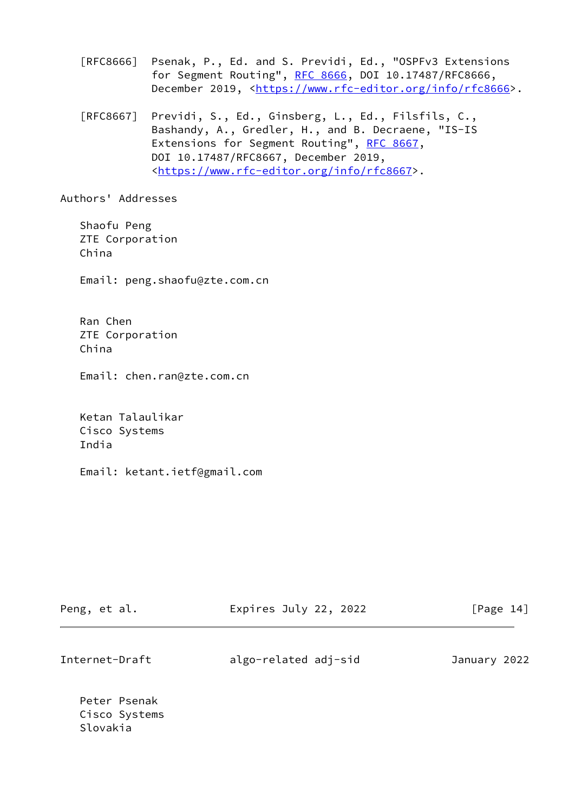[RFC8666] Psenak, P., Ed. and S. Previdi, Ed., "OSPFv3 Extensions for Segment Routing", [RFC 8666](https://datatracker.ietf.org/doc/pdf/rfc8666), DOI 10.17487/RFC8666, December 2019, <<https://www.rfc-editor.org/info/rfc8666>>.

 [RFC8667] Previdi, S., Ed., Ginsberg, L., Ed., Filsfils, C., Bashandy, A., Gredler, H., and B. Decraene, "IS-IS Extensions for Segment Routing", [RFC 8667,](https://datatracker.ietf.org/doc/pdf/rfc8667) DOI 10.17487/RFC8667, December 2019, <[https://www.rfc-editor.org/info/rfc8667>](https://www.rfc-editor.org/info/rfc8667).

Authors' Addresses

 Shaofu Peng ZTE Corporation China

Email: peng.shaofu@zte.com.cn

 Ran Chen ZTE Corporation China

Email: chen.ran@zte.com.cn

 Ketan Talaulikar Cisco Systems India

Email: ketant.ietf@gmail.com

| Peng, et al.   | Expires July 22, 2022 | $\lceil \text{Page 14} \rceil$ |
|----------------|-----------------------|--------------------------------|
|                |                       |                                |
| Internet-Draft | algo-related adj-sid  | January 2022                   |

 Peter Psenak Cisco Systems Slovakia